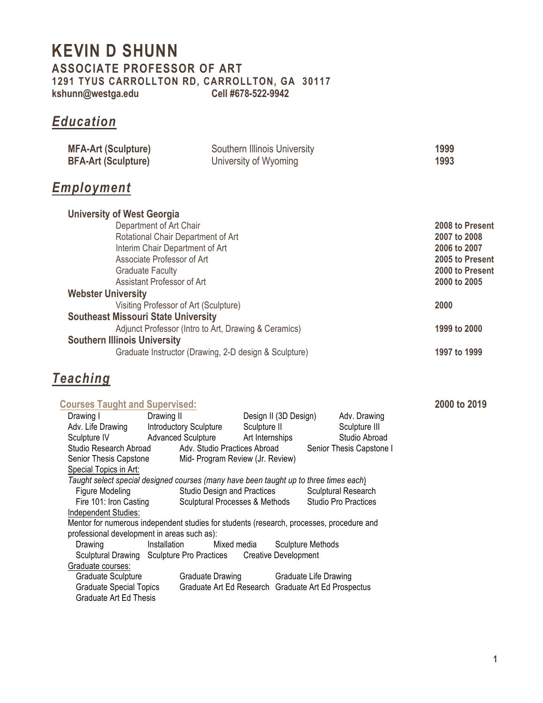### **KEVIN D SHUNN ASSOCIATE PROFESSOR OF ART 1291 TYUS CARROLLTON RD, CARROLLTON, GA 30117 kshunn@westga.edu Cell #678-522-9942**

## *Education*

| <b>MFA-Art (Sculpture)</b> | Southern Illinois University | 1999 |
|----------------------------|------------------------------|------|
| <b>BFA-Art (Sculpture)</b> | University of Wyoming        | 1993 |

### *Employment*

| <b>University of West Georgia</b>                     |                 |
|-------------------------------------------------------|-----------------|
| Department of Art Chair                               | 2008 to Present |
| Rotational Chair Department of Art                    | 2007 to 2008    |
| Interim Chair Department of Art                       | 2006 to 2007    |
| Associate Professor of Art                            | 2005 to Present |
| <b>Graduate Faculty</b>                               | 2000 to Present |
| Assistant Professor of Art                            | 2000 to 2005    |
| <b>Webster University</b>                             |                 |
| Visiting Professor of Art (Sculpture)                 | 2000            |
| <b>Southeast Missouri State University</b>            |                 |
| Adjunct Professor (Intro to Art, Drawing & Ceramics)  | 1999 to 2000    |
| <b>Southern Illinois University</b>                   |                 |
| Graduate Instructor (Drawing, 2-D design & Sculpture) | 1997 to 1999    |

### *Teaching*

| <b>Courses Taught and Supervised:</b>       |                                                                                          |                                                     |                                                     | 2000 to 2019 |
|---------------------------------------------|------------------------------------------------------------------------------------------|-----------------------------------------------------|-----------------------------------------------------|--------------|
| Drawing I                                   | Drawing II                                                                               | Design II (3D Design)                               | Adv. Drawing                                        |              |
| Adv. Life Drawing                           | <b>Introductory Sculpture</b>                                                            | Sculpture II                                        | Sculpture III                                       |              |
|                                             | Sculpture IV Advanced Sculpture                                                          | Art Internships                                     | Studio Abroad                                       |              |
| Studio Research Abroad                      |                                                                                          | Adv. Studio Practices Abroad                        | Senior Thesis Capstone I                            |              |
| Senior Thesis Capstone                      |                                                                                          | Mid- Program Review (Jr. Review)                    |                                                     |              |
| Special Topics in Art:                      |                                                                                          |                                                     |                                                     |              |
|                                             | Taught select special designed courses (many have been taught up to three times each)    |                                                     |                                                     |              |
| Figure Modeling                             |                                                                                          |                                                     | Studio Design and Practices Sculptural Research     |              |
| Fire 101: Iron Casting                      |                                                                                          |                                                     | Sculptural Processes & Methods Studio Pro Practices |              |
| Independent Studies:                        |                                                                                          |                                                     |                                                     |              |
|                                             | Mentor for numerous independent studies for students (research, processes, procedure and |                                                     |                                                     |              |
| professional development in areas such as): |                                                                                          |                                                     |                                                     |              |
| Drawing                                     | Installation Mixed media Sculpture Methods                                               |                                                     |                                                     |              |
|                                             | Sculptural Drawing Sculpture Pro Practices Creative Development                          |                                                     |                                                     |              |
| Graduate courses:                           |                                                                                          |                                                     |                                                     |              |
| Graduate Sculpture                          |                                                                                          | Graduate Drawing Graduate Life Drawing              |                                                     |              |
| <b>Graduate Special Topics</b>              |                                                                                          | Graduate Art Ed Research Graduate Art Ed Prospectus |                                                     |              |
| Graduate Art Ed Thesis                      |                                                                                          |                                                     |                                                     |              |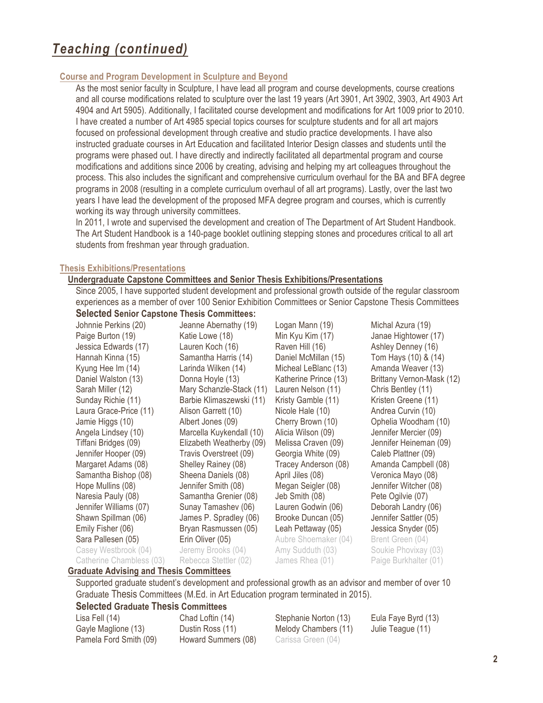#### **Course and Program Development in Sculpture and Beyond**

As the most senior faculty in Sculpture, I have lead all program and course developments, course creations and all course modifications related to sculpture over the last 19 years (Art 3901, Art 3902, 3903, Art 4903 Art 4904 and Art 5905). Additionally, I facilitated course development and modifications for Art 1009 prior to 2010. I have created a number of Art 4985 special topics courses for sculpture students and for all art majors focused on professional development through creative and studio practice developments. I have also instructed graduate courses in Art Education and facilitated Interior Design classes and students until the programs were phased out. I have directly and indirectly facilitated all departmental program and course modifications and additions since 2006 by creating, advising and helping my art colleagues throughout the process. This also includes the significant and comprehensive curriculum overhaul for the BA and BFA degree programs in 2008 (resulting in a complete curriculum overhaul of all art programs). Lastly, over the last two years I have lead the development of the proposed MFA degree program and courses, which is currently working its way through university committees.

In 2011, I wrote and supervised the development and creation of The Department of Art Student Handbook. The Art Student Handbook is a 140-page booklet outlining stepping stones and procedures critical to all art students from freshman year through graduation.

#### **Thesis Exhibitions/Presentations**

#### **Undergraduate Capstone Committees and Senior Thesis Exhibitions/Presentations**

Since 2005, I have supported student development and professional growth outside of the regular classroom experiences as a member of over 100 Senior Exhibition Committees or Senior Capstone Thesis Committees **Selected Senior Capstone Thesis Committees:**

| Johnnie Perkins (20)     | Jeanne Abernathy (19)    | Logan Mann (19)       | Michal Azura (19)         |
|--------------------------|--------------------------|-----------------------|---------------------------|
| Paige Burton (19)        | Katie Lowe (18)          | Min Kyu Kim (17)      | Janae Hightower (17)      |
| Jessica Edwards (17)     | Lauren Koch (16)         | Raven Hill (16)       | Ashley Denney (16)        |
| Hannah Kinna (15)        | Samantha Harris (14)     | Daniel McMillan (15)  | Tom Hays (10) & (14)      |
| Kyung Hee Im (14)        | Larinda Wilken (14)      | Micheal LeBlanc (13)  | Amanda Weaver (13)        |
| Daniel Walston (13)      | Donna Hoyle (13)         | Katherine Prince (13) | Brittany Vernon-Mask (12) |
| Sarah Miller (12)        | Mary Schanzle-Stack (11) | Lauren Nelson (11)    | Chris Bentley (11)        |
| Sunday Richie (11)       | Barbie Klimaszewski (11) | Kristy Gamble (11)    | Kristen Greene (11)       |
| Laura Grace-Price (11)   | Alison Garrett (10)      | Nicole Hale (10)      | Andrea Curvin (10)        |
| Jamie Higgs (10)         | Albert Jones (09)        | Cherry Brown (10)     | Ophelia Woodham (10)      |
| Angela Lindsey (10)      | Marcella Kuykendall (10) | Alicia Wilson (09)    | Jennifer Mercier (09)     |
| Tiffani Bridges (09)     | Elizabeth Weatherby (09) | Melissa Craven (09)   | Jennifer Heineman (09)    |
| Jennifer Hooper (09)     | Travis Overstreet (09)   | Georgia White (09)    | Caleb Plattner (09)       |
| Margaret Adams (08)      | Shelley Rainey (08)      | Tracey Anderson (08)  | Amanda Campbell (08)      |
| Samantha Bishop (08)     | Sheena Daniels (08)      | April Jiles (08)      | Veronica Mayo (08)        |
| Hope Mullins (08)        | Jennifer Smith (08)      | Megan Seigler (08)    | Jennifer Witcher (08)     |
| Naresia Pauly (08)       | Samantha Grenier (08)    | Jeb Smith (08)        | Pete Ogilvie (07)         |
| Jennifer Williams (07)   | Sunay Tamashev (06)      | Lauren Godwin (06)    | Deborah Landry (06)       |
| Shawn Spillman (06)      | James P. Spradley (06)   | Brooke Duncan (05)    | Jennifer Sattler (05)     |
| Emily Fisher (06)        | Bryan Rasmussen (05)     | Leah Pettaway (05)    | Jessica Snyder (05)       |
| Sara Pallesen (05)       | Erin Oliver (05)         | Aubre Shoemaker (04)  | Brent Green (04)          |
| Casey Westbrook (04)     | Jeremy Brooks (04)       | Amy Sudduth (03)      | Soukie Phovixay (03)      |
| Catherine Chambless (03) | Rebecca Stettler (02)    | James Rhea (01)       | Paige Burkhalter (01)     |

#### **Graduate Advising and Thesis Committees**

Supported graduate student's development and professional growth as an advisor and member of over 10 Graduate Thesis Committees (M.Ed. in Art Education program terminated in 2015).

# **Selected Graduate Thesis Committees**<br>Lisa Fell (14) Chad Loftin (14)

Gayle Maglione (13) Dustin Ross (11) Melody Chambers (11) Julie Teague (11) Pamela Ford Smith (09) Howard Summers (08) Carissa Green (04)

Chad Loftin (14) Stephanie Norton (13) Eula Faye Byrd (13)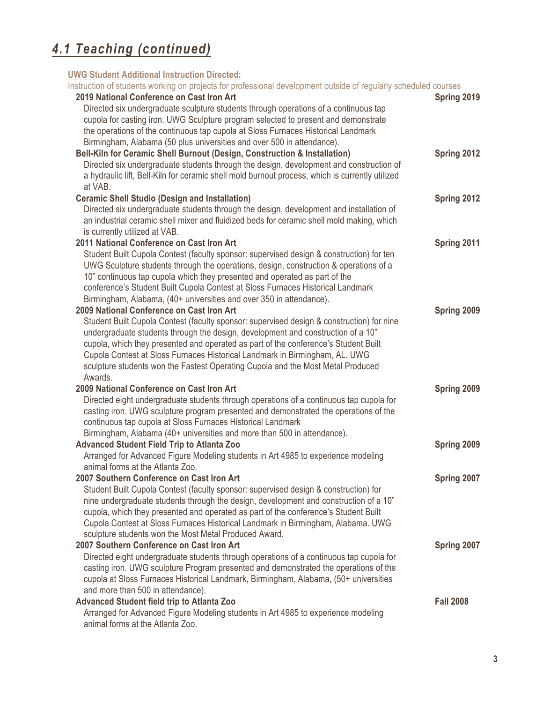#### **UWG Student Additional Instruction Directed:**

| Instruction of students working on projects for professional development outside of regularly scheduled courses |                  |
|-----------------------------------------------------------------------------------------------------------------|------------------|
| 2019 National Conference on Cast Iron Art                                                                       | Spring 2019      |
| Directed six undergraduate sculpture students through operations of a continuous tap                            |                  |
| cupola for casting iron. UWG Sculpture program selected to present and demonstrate                              |                  |
| the operations of the continuous tap cupola at Sloss Furnaces Historical Landmark                               |                  |
| Birmingham, Alabama (50 plus universities and over 500 in attendance).                                          |                  |
| Bell-Kiln for Ceramic Shell Burnout (Design, Construction & Installation)                                       | Spring 2012      |
| Directed six undergraduate students through the design, development and construction of                         |                  |
| a hydraulic lift, Bell-Kiln for ceramic shell mold burnout process, which is currently utilized                 |                  |
| at VAB.                                                                                                         |                  |
| <b>Ceramic Shell Studio (Design and Installation)</b>                                                           | Spring 2012      |
| Directed six undergraduate students through the design, development and installation of                         |                  |
| an industrial ceramic shell mixer and fluidized beds for ceramic shell mold making, which                       |                  |
| is currently utilized at VAB.                                                                                   |                  |
| 2011 National Conference on Cast Iron Art                                                                       | Spring 2011      |
| Student Built Cupola Contest (faculty sponsor: supervised design & construction) for ten                        |                  |
| UWG Sculpture students through the operations, design, construction & operations of a                           |                  |
| 10" continuous tap cupola which they presented and operated as part of the                                      |                  |
| conference's Student Built Cupola Contest at Sloss Furnaces Historical Landmark                                 |                  |
| Birmingham, Alabama, (40+ universities and over 350 in attendance).                                             |                  |
| 2009 National Conference on Cast Iron Art                                                                       | Spring 2009      |
| Student Built Cupola Contest (faculty sponsor: supervised design & construction) for nine                       |                  |
| undergraduate students through the design, development and construction of a 10"                                |                  |
| cupola, which they presented and operated as part of the conference's Student Built                             |                  |
| Cupola Contest at Sloss Furnaces Historical Landmark in Birmingham, AL. UWG                                     |                  |
| sculpture students won the Fastest Operating Cupola and the Most Metal Produced                                 |                  |
| Awards.                                                                                                         |                  |
| 2009 National Conference on Cast Iron Art                                                                       | Spring 2009      |
| Directed eight undergraduate students through operations of a continuous tap cupola for                         |                  |
| casting iron. UWG sculpture program presented and demonstrated the operations of the                            |                  |
| continuous tap cupola at Sloss Furnaces Historical Landmark                                                     |                  |
| Birmingham, Alabama (40+ universities and more than 500 in attendance).                                         |                  |
| <b>Advanced Student Field Trip to Atlanta Zoo</b>                                                               | Spring 2009      |
| Arranged for Advanced Figure Modeling students in Art 4985 to experience modeling                               |                  |
| animal forms at the Atlanta Zoo.                                                                                |                  |
| 2007 Southern Conference on Cast Iron Art                                                                       | Spring 2007      |
| Student Built Cupola Contest (faculty sponsor: supervised design & construction) for                            |                  |
| nine undergraduate students through the design, development and construction of a 10"                           |                  |
| cupola, which they presented and operated as part of the conference's Student Built                             |                  |
| Cupola Contest at Sloss Furnaces Historical Landmark in Birmingham, Alabama. UWG                                |                  |
| sculpture students won the Most Metal Produced Award.                                                           |                  |
| 2007 Southern Conference on Cast Iron Art                                                                       | Spring 2007      |
| Directed eight undergraduate students through operations of a continuous tap cupola for                         |                  |
| casting iron. UWG sculpture Program presented and demonstrated the operations of the                            |                  |
| cupola at Sloss Furnaces Historical Landmark, Birmingham, Alabama, (50+ universities                            |                  |
| and more than 500 in attendance).                                                                               |                  |
| <b>Advanced Student field trip to Atlanta Zoo</b>                                                               | <b>Fall 2008</b> |
| Arranged for Advanced Figure Modeling students in Art 4985 to experience modeling                               |                  |
| animal forms at the Atlanta Zoo.                                                                                |                  |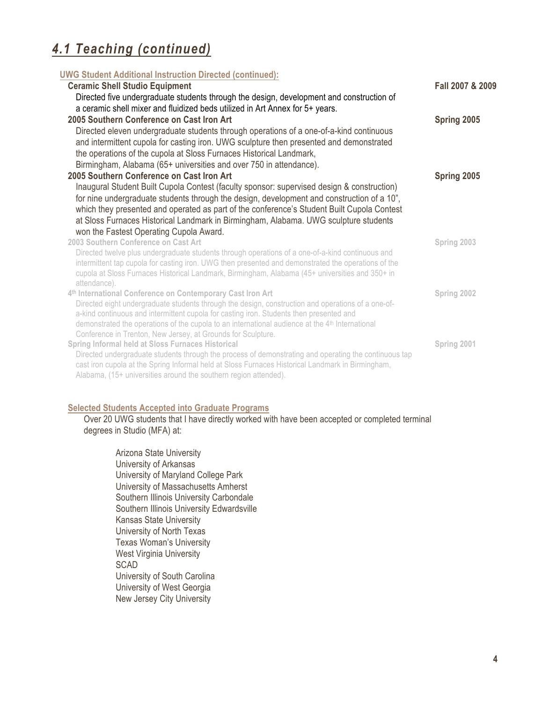| <b>UWG Student Additional Instruction Directed (continued):</b>                                                                                                  |                  |
|------------------------------------------------------------------------------------------------------------------------------------------------------------------|------------------|
| <b>Ceramic Shell Studio Equipment</b>                                                                                                                            | Fall 2007 & 2009 |
| Directed five undergraduate students through the design, development and construction of                                                                         |                  |
| a ceramic shell mixer and fluidized beds utilized in Art Annex for 5+ years.                                                                                     |                  |
| 2005 Southern Conference on Cast Iron Art                                                                                                                        | Spring 2005      |
| Directed eleven undergraduate students through operations of a one-of-a-kind continuous                                                                          |                  |
| and intermittent cupola for casting iron. UWG sculpture then presented and demonstrated                                                                          |                  |
| the operations of the cupola at Sloss Furnaces Historical Landmark,                                                                                              |                  |
| Birmingham, Alabama (65+ universities and over 750 in attendance).                                                                                               |                  |
| 2005 Southern Conference on Cast Iron Art                                                                                                                        | Spring 2005      |
| Inaugural Student Built Cupola Contest (faculty sponsor: supervised design & construction)                                                                       |                  |
| for nine undergraduate students through the design, development and construction of a 10",                                                                       |                  |
| which they presented and operated as part of the conference's Student Built Cupola Contest                                                                       |                  |
| at Sloss Furnaces Historical Landmark in Birmingham, Alabama. UWG sculpture students                                                                             |                  |
| won the Fastest Operating Cupola Award.                                                                                                                          |                  |
| 2003 Southern Conference on Cast Art                                                                                                                             | Spring 2003      |
| Directed twelve plus undergraduate students through operations of a one-of-a-kind continuous and                                                                 |                  |
| intermittent tap cupola for casting iron. UWG then presented and demonstrated the operations of the                                                              |                  |
| cupola at Sloss Furnaces Historical Landmark, Birmingham, Alabama (45+ universities and 350+ in                                                                  |                  |
| attendance).                                                                                                                                                     |                  |
| 4th International Conference on Contemporary Cast Iron Art<br>Directed eight undergraduate students through the design, construction and operations of a one-of- | Spring 2002      |
| a-kind continuous and intermittent cupola for casting iron. Students then presented and                                                                          |                  |
| demonstrated the operations of the cupola to an international audience at the 4 <sup>th</sup> International                                                      |                  |
| Conference in Trenton, New Jersey, at Grounds for Sculpture.                                                                                                     |                  |
| Spring Informal held at Sloss Furnaces Historical                                                                                                                | Spring 2001      |
| Directed undergraduate students through the process of demonstrating and operating the continuous tap                                                            |                  |
| cast iron cupola at the Spring Informal held at Sloss Furnaces Historical Landmark in Birmingham,                                                                |                  |
| Alabama, (15+ universities around the southern region attended).                                                                                                 |                  |

#### **Selected Students Accepted into Graduate Programs**

Over 20 UWG students that I have directly worked with have been accepted or completed terminal degrees in Studio (MFA) at:

Arizona State University University of Arkansas University of Maryland College Park University of Massachusetts Amherst Southern Illinois University Carbondale Southern Illinois University Edwardsville Kansas State University University of North Texas Texas Woman's University West Virginia University SCAD University of South Carolina University of West Georgia New Jersey City University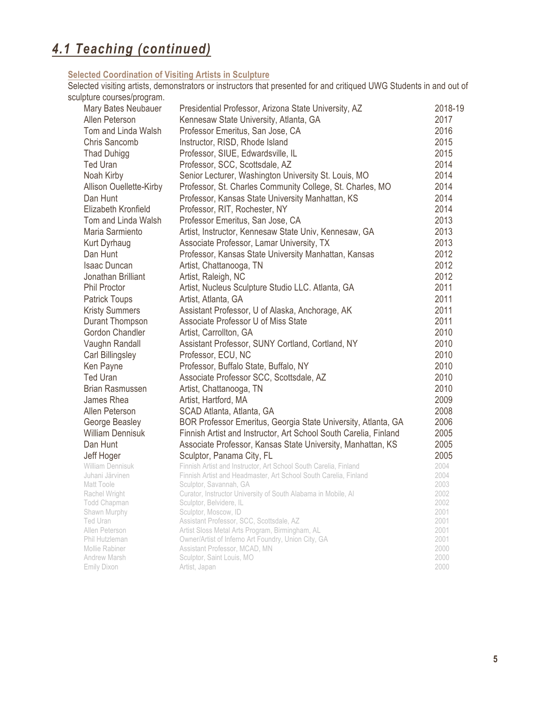#### **Selected Coordination of Visiting Artists in Sculpture**

Selected visiting artists, demonstrators or instructors that presented for and critiqued UWG Students in and out of sculpture courses/program.

| Mary Bates Neubauer                        | Presidential Professor, Arizona State University, AZ                                                                                 | 2018-19      |
|--------------------------------------------|--------------------------------------------------------------------------------------------------------------------------------------|--------------|
| Allen Peterson                             | Kennesaw State University, Atlanta, GA                                                                                               | 2017         |
| Tom and Linda Walsh                        | Professor Emeritus, San Jose, CA                                                                                                     | 2016         |
| Chris Sancomb                              | Instructor, RISD, Rhode Island                                                                                                       | 2015         |
| <b>Thad Duhigg</b>                         | Professor, SIUE, Edwardsville, IL                                                                                                    | 2015         |
| <b>Ted Uran</b>                            | Professor, SCC, Scottsdale, AZ                                                                                                       | 2014         |
| Noah Kirby                                 | Senior Lecturer, Washington University St. Louis, MO                                                                                 | 2014         |
|                                            |                                                                                                                                      | 2014         |
| <b>Allison Ouellette-Kirby</b><br>Dan Hunt | Professor, St. Charles Community College, St. Charles, MO                                                                            | 2014         |
|                                            | Professor, Kansas State University Manhattan, KS                                                                                     |              |
| Elizabeth Kronfield                        | Professor, RIT, Rochester, NY                                                                                                        | 2014         |
| Tom and Linda Walsh                        | Professor Emeritus, San Jose, CA                                                                                                     | 2013         |
| Maria Sarmiento                            | Artist, Instructor, Kennesaw State Univ, Kennesaw, GA                                                                                | 2013         |
| <b>Kurt Dyrhaug</b>                        | Associate Professor, Lamar University, TX                                                                                            | 2013         |
| Dan Hunt                                   | Professor, Kansas State University Manhattan, Kansas                                                                                 | 2012         |
| <b>Isaac Duncan</b>                        | Artist, Chattanooga, TN                                                                                                              | 2012         |
| Jonathan Brilliant                         | Artist, Raleigh, NC                                                                                                                  | 2012         |
| <b>Phil Proctor</b>                        | Artist, Nucleus Sculpture Studio LLC. Atlanta, GA                                                                                    | 2011         |
| <b>Patrick Toups</b>                       | Artist, Atlanta, GA                                                                                                                  | 2011         |
| <b>Kristy Summers</b>                      | Assistant Professor, U of Alaska, Anchorage, AK                                                                                      | 2011         |
| Durant Thompson                            | Associate Professor U of Miss State                                                                                                  | 2011         |
| Gordon Chandler                            | Artist, Carrollton, GA                                                                                                               | 2010         |
| Vaughn Randall                             | Assistant Professor, SUNY Cortland, Cortland, NY                                                                                     | 2010         |
| Carl Billingsley                           | Professor, ECU, NC                                                                                                                   | 2010         |
| Ken Payne                                  | Professor, Buffalo State, Buffalo, NY                                                                                                | 2010         |
| <b>Ted Uran</b>                            | Associate Professor SCC, Scottsdale, AZ                                                                                              | 2010         |
| <b>Brian Rasmussen</b>                     | Artist, Chattanooga, TN                                                                                                              | 2010         |
| James Rhea                                 | Artist, Hartford, MA                                                                                                                 | 2009         |
| Allen Peterson                             |                                                                                                                                      | 2008         |
|                                            | SCAD Atlanta, Atlanta, GA                                                                                                            | 2006         |
| George Beasley                             | BOR Professor Emeritus, Georgia State University, Atlanta, GA                                                                        |              |
| <b>William Dennisuk</b>                    | Finnish Artist and Instructor, Art School South Carelia, Finland                                                                     | 2005         |
| Dan Hunt                                   | Associate Professor, Kansas State University, Manhattan, KS                                                                          | 2005         |
| Jeff Hoger                                 | Sculptor, Panama City, FL                                                                                                            | 2005         |
| William Dennisuk<br>Juhani Järvinen        | Finnish Artist and Instructor, Art School South Carelia, Finland<br>Finnish Artist and Headmaster, Art School South Carelia, Finland | 2004<br>2004 |
| Matt Toole                                 | Sculptor, Savannah, GA                                                                                                               | 2003         |
| Rachel Wright                              | Curator, Instructor University of South Alabama in Mobile, Al                                                                        | 2002         |
| Todd Chapman                               | Sculptor, Belvidere, IL                                                                                                              | 2002         |
| Shawn Murphy                               | Sculptor, Moscow, ID                                                                                                                 | 2001         |
| Ted Uran                                   | Assistant Professor, SCC, Scottsdale, AZ                                                                                             | 2001         |
| Allen Peterson                             | Artist Sloss Metal Arts Program, Birmingham, AL                                                                                      | 2001         |
| Phil Hutzleman                             | Owner/Artist of Inferno Art Foundry, Union City, GA                                                                                  | 2001         |
| Mollie Rabiner                             | Assistant Professor, MCAD, MN                                                                                                        | 2000         |
| Andrew Marsh                               | Sculptor, Saint Louis, MO                                                                                                            | 2000         |
| <b>Emily Dixon</b>                         | Artist, Japan                                                                                                                        | 2000         |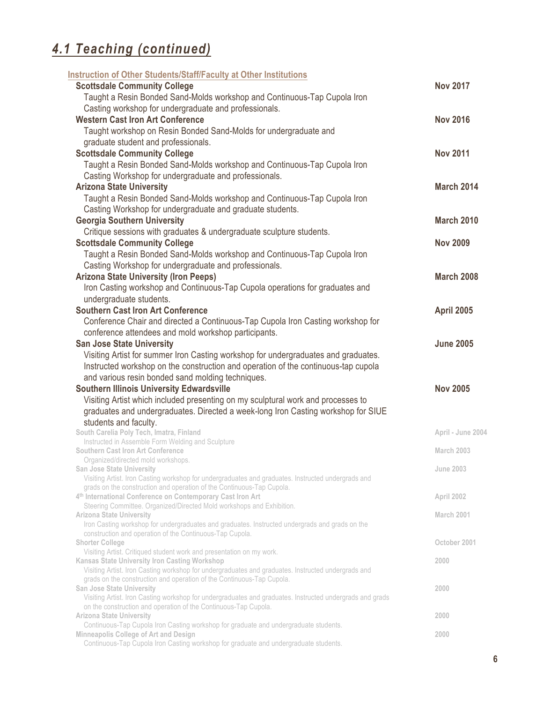| Instruction of Other Students/Staff/Faculty at Other Institutions                                                                                   |                   |
|-----------------------------------------------------------------------------------------------------------------------------------------------------|-------------------|
| <b>Scottsdale Community College</b>                                                                                                                 | <b>Nov 2017</b>   |
| Taught a Resin Bonded Sand-Molds workshop and Continuous-Tap Cupola Iron                                                                            |                   |
| Casting workshop for undergraduate and professionals.                                                                                               |                   |
| <b>Western Cast Iron Art Conference</b>                                                                                                             | <b>Nov 2016</b>   |
| Taught workshop on Resin Bonded Sand-Molds for undergraduate and                                                                                    |                   |
| graduate student and professionals.                                                                                                                 |                   |
| <b>Scottsdale Community College</b>                                                                                                                 | <b>Nov 2011</b>   |
| Taught a Resin Bonded Sand-Molds workshop and Continuous-Tap Cupola Iron                                                                            |                   |
| Casting Workshop for undergraduate and professionals.                                                                                               |                   |
| <b>Arizona State University</b>                                                                                                                     | <b>March 2014</b> |
| Taught a Resin Bonded Sand-Molds workshop and Continuous-Tap Cupola Iron                                                                            |                   |
| Casting Workshop for undergraduate and graduate students.                                                                                           |                   |
| <b>Georgia Southern University</b>                                                                                                                  | <b>March 2010</b> |
| Critique sessions with graduates & undergraduate sculpture students.                                                                                |                   |
| <b>Scottsdale Community College</b>                                                                                                                 | <b>Nov 2009</b>   |
| Taught a Resin Bonded Sand-Molds workshop and Continuous-Tap Cupola Iron                                                                            |                   |
| Casting Workshop for undergraduate and professionals.                                                                                               |                   |
| <b>Arizona State University (Iron Peeps)</b>                                                                                                        | <b>March 2008</b> |
| Iron Casting workshop and Continuous-Tap Cupola operations for graduates and                                                                        |                   |
| undergraduate students.                                                                                                                             |                   |
| <b>Southern Cast Iron Art Conference</b>                                                                                                            | April 2005        |
| Conference Chair and directed a Continuous-Tap Cupola Iron Casting workshop for                                                                     |                   |
| conference attendees and mold workshop participants.                                                                                                |                   |
| <b>San Jose State University</b>                                                                                                                    | <b>June 2005</b>  |
|                                                                                                                                                     |                   |
|                                                                                                                                                     |                   |
| Visiting Artist for summer Iron Casting workshop for undergraduates and graduates.                                                                  |                   |
| Instructed workshop on the construction and operation of the continuous-tap cupola                                                                  |                   |
| and various resin bonded sand molding techniques.                                                                                                   |                   |
| <b>Southern Illinois University Edwardsville</b>                                                                                                    | <b>Nov 2005</b>   |
| Visiting Artist which included presenting on my sculptural work and processes to                                                                    |                   |
| graduates and undergraduates. Directed a week-long Iron Casting workshop for SIUE                                                                   |                   |
| students and faculty.                                                                                                                               |                   |
| South Carelia Poly Tech, Imatra, Finland                                                                                                            | April - June 2004 |
| Instructed in Assemble Form Welding and Sculpture<br><b>Southern Cast Iron Art Conference</b>                                                       | March 2003        |
| Organized/directed mold workshops.                                                                                                                  |                   |
| <b>San Jose State University</b>                                                                                                                    | <b>June 2003</b>  |
| Visiting Artist. Iron Casting workshop for undergraduates and graduates. Instructed undergrads and                                                  |                   |
| grads on the construction and operation of the Continuous-Tap Cupola.                                                                               |                   |
| 4th International Conference on Contemporary Cast Iron Art                                                                                          | April 2002        |
| Steering Committee. Organized/Directed Mold workshops and Exhibition.<br><b>Arizona State University</b>                                            | March 2001        |
| Iron Casting workshop for undergraduates and graduates. Instructed undergrads and grads on the                                                      |                   |
| construction and operation of the Continuous-Tap Cupola.                                                                                            |                   |
| <b>Shorter College</b>                                                                                                                              | October 2001      |
| Visiting Artist. Critiqued student work and presentation on my work.                                                                                |                   |
| Kansas State University Iron Casting Workshop<br>Visiting Artist. Iron Casting workshop for undergraduates and graduates. Instructed undergrads and | 2000              |
| grads on the construction and operation of the Continuous-Tap Cupola.                                                                               |                   |
| <b>San Jose State University</b>                                                                                                                    | 2000              |
| Visiting Artist. Iron Casting workshop for undergraduates and graduates. Instructed undergrads and grads                                            |                   |
| on the construction and operation of the Continuous-Tap Cupola.                                                                                     |                   |
| <b>Arizona State University</b><br>Continuous-Tap Cupola Iron Casting workshop for graduate and undergraduate students.                             | 2000              |
| Minneapolis College of Art and Design<br>Continuous-Tap Cupola Iron Casting workshop for graduate and undergraduate students.                       | 2000              |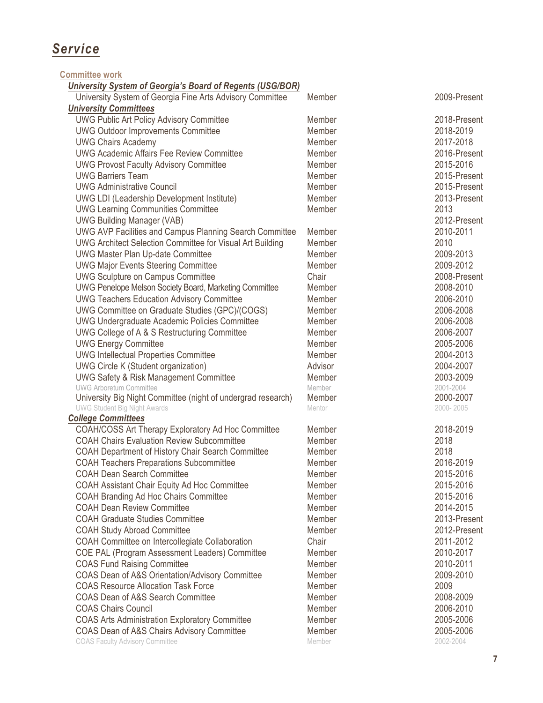## *Service*

**Committee work**

#### *University System of Georgia's Board of Regents (USG/BOR)*

| omvorsny oystem or ocorgia s Board or negents (ooolbon)                                       |         |                   |
|-----------------------------------------------------------------------------------------------|---------|-------------------|
| University System of Georgia Fine Arts Advisory Committee                                     | Member  | 2009-Present      |
| <b>University Committees</b>                                                                  |         |                   |
| <b>UWG Public Art Policy Advisory Committee</b>                                               | Member  | 2018-Present      |
| <b>UWG Outdoor Improvements Committee</b>                                                     | Member  | 2018-2019         |
| <b>UWG Chairs Academy</b>                                                                     | Member  | 2017-2018         |
| <b>UWG Academic Affairs Fee Review Committee</b>                                              | Member  | 2016-Present      |
| <b>UWG Provost Faculty Advisory Committee</b>                                                 | Member  | 2015-2016         |
| <b>UWG Barriers Team</b>                                                                      | Member  | 2015-Present      |
| <b>UWG Administrative Council</b>                                                             | Member  | 2015-Present      |
| <b>UWG LDI (Leadership Development Institute)</b>                                             | Member  | 2013-Present      |
| <b>UWG Learning Communities Committee</b>                                                     | Member  | 2013              |
| <b>UWG Building Manager (VAB)</b>                                                             |         | 2012-Present      |
| <b>UWG AVP Facilities and Campus Planning Search Committee</b>                                | Member  | 2010-2011         |
| <b>UWG Architect Selection Committee for Visual Art Building</b>                              | Member  | 2010              |
| <b>UWG Master Plan Up-date Committee</b>                                                      | Member  | 2009-2013         |
| <b>UWG Major Events Steering Committee</b>                                                    | Member  | 2009-2012         |
| <b>UWG Sculpture on Campus Committee</b>                                                      | Chair   | 2008-Present      |
|                                                                                               | Member  | 2008-2010         |
| <b>UWG Penelope Melson Society Board, Marketing Committee</b>                                 |         |                   |
| <b>UWG Teachers Education Advisory Committee</b>                                              | Member  | 2006-2010         |
| UWG Committee on Graduate Studies (GPC)/(COGS)                                                | Member  | 2006-2008         |
| <b>UWG Undergraduate Academic Policies Committee</b>                                          | Member  | 2006-2008         |
| UWG College of A & S Restructuring Committee                                                  | Member  | 2006-2007         |
| <b>UWG Energy Committee</b>                                                                   | Member  | 2005-2006         |
| <b>UWG Intellectual Properties Committee</b>                                                  | Member  | 2004-2013         |
| <b>UWG Circle K (Student organization)</b>                                                    | Advisor | 2004-2007         |
| <b>UWG Safety &amp; Risk Management Committee</b>                                             | Member  | 2003-2009         |
| <b>UWG Arboretum Committee</b>                                                                | Member  | 2001-2004         |
| University Big Night Committee (night of undergrad research)                                  | Member  | 2000-2007         |
| <b>UWG Student Big Night Awards</b>                                                           | Mentor  | 2000-2005         |
| <b>College Committees</b>                                                                     |         |                   |
| <b>COAH/COSS Art Therapy Exploratory Ad Hoc Committee</b>                                     | Member  | 2018-2019         |
| <b>COAH Chairs Evaluation Review Subcommittee</b>                                             | Member  | 2018              |
| <b>COAH Department of History Chair Search Committee</b>                                      | Member  | 2018              |
| <b>COAH Teachers Preparations Subcommittee</b>                                                | Member  | 2016-2019         |
| <b>COAH Dean Search Committee</b>                                                             | Member  | 2015-2016         |
| COAH Assistant Chair Equity Ad Hoc Committee                                                  | Member  | 2015-2016         |
| <b>COAH Branding Ad Hoc Chairs Committee</b>                                                  | Member  | 2015-2016         |
| <b>COAH Dean Review Committee</b>                                                             | Member  | 2014-2015         |
| <b>COAH Graduate Studies Committee</b>                                                        | Member  | 2013-Present      |
| <b>COAH Study Abroad Committee</b>                                                            | Member  | 2012-Present      |
| COAH Committee on Intercollegiate Collaboration                                               | Chair   | 2011-2012         |
| COE PAL (Program Assessment Leaders) Committee                                                | Member  | 2010-2017         |
| <b>COAS Fund Raising Committee</b>                                                            | Member  | 2010-2011         |
|                                                                                               | Member  |                   |
| COAS Dean of A&S Orientation/Advisory Committee<br><b>COAS Resource Allocation Task Force</b> | Member  | 2009-2010<br>2009 |
|                                                                                               |         |                   |
| COAS Dean of A&S Search Committee                                                             | Member  | 2008-2009         |
| <b>COAS Chairs Council</b>                                                                    | Member  | 2006-2010         |
| <b>COAS Arts Administration Exploratory Committee</b>                                         | Member  | 2005-2006         |
| COAS Dean of A&S Chairs Advisory Committee                                                    | Member  | 2005-2006         |
| <b>COAS Faculty Advisory Committee</b>                                                        | Member  | 2002-2004         |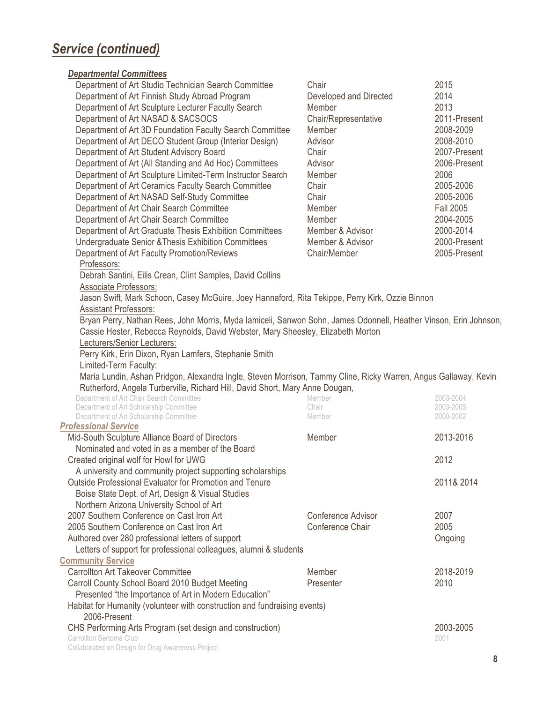## *Service (continued)*

#### *Departmental Committees*

| Department of Art Studio Technician Search Committee                                                                                      | Chair                  | 2015                   |
|-------------------------------------------------------------------------------------------------------------------------------------------|------------------------|------------------------|
| Department of Art Finnish Study Abroad Program                                                                                            | Developed and Directed | 2014                   |
| Department of Art Sculpture Lecturer Faculty Search                                                                                       | Member                 | 2013                   |
| Department of Art NASAD & SACSOCS                                                                                                         | Chair/Representative   | 2011-Present           |
| Department of Art 3D Foundation Faculty Search Committee                                                                                  | Member                 | 2008-2009              |
| Department of Art DECO Student Group (Interior Design)                                                                                    | Advisor                | 2008-2010              |
| Department of Art Student Advisory Board                                                                                                  | Chair                  | 2007-Present           |
| Department of Art (All Standing and Ad Hoc) Committees                                                                                    | Advisor                | 2006-Present           |
| Department of Art Sculpture Limited-Term Instructor Search                                                                                | Member                 | 2006                   |
| Department of Art Ceramics Faculty Search Committee                                                                                       | Chair                  | 2005-2006              |
| Department of Art NASAD Self-Study Committee                                                                                              | Chair                  | 2005-2006              |
| Department of Art Chair Search Committee                                                                                                  | Member                 | <b>Fall 2005</b>       |
| Department of Art Chair Search Committee                                                                                                  | Member                 | 2004-2005              |
| Department of Art Graduate Thesis Exhibition Committees                                                                                   | Member & Advisor       | 2000-2014              |
| Undergraduate Senior & Thesis Exhibition Committees                                                                                       | Member & Advisor       | 2000-Present           |
| Department of Art Faculty Promotion/Reviews                                                                                               | Chair/Member           | 2005-Present           |
| Professors:                                                                                                                               |                        |                        |
| Debrah Santini, Eilis Crean, Clint Samples, David Collins                                                                                 |                        |                        |
| Associate Professors:                                                                                                                     |                        |                        |
| Jason Swift, Mark Schoon, Casey McGuire, Joey Hannaford, Rita Tekippe, Perry Kirk, Ozzie Binnon                                           |                        |                        |
| <b>Assistant Professors:</b>                                                                                                              |                        |                        |
| Bryan Perry, Nathan Rees, John Morris, Myda lamiceli, Sanwon Sohn, James Odonnell, Heather Vinson, Erin Johnson,                          |                        |                        |
| Cassie Hester, Rebecca Reynolds, David Webster, Mary Sheesley, Elizabeth Morton                                                           |                        |                        |
| Lecturers/Senior Lecturers:                                                                                                               |                        |                        |
| Perry Kirk, Erin Dixon, Ryan Lamfers, Stephanie Smith                                                                                     |                        |                        |
|                                                                                                                                           |                        |                        |
|                                                                                                                                           |                        |                        |
| Limited-Term Faculty:                                                                                                                     |                        |                        |
| Maria Lundin, Ashan Pridgon, Alexandra Ingle, Steven Morrison, Tammy Cline, Ricky Warren, Angus Gallaway, Kevin                           |                        |                        |
| Rutherford, Angela Turberville, Richard Hill, David Short, Mary Anne Dougan,                                                              |                        |                        |
| Department of Art Chair Search Committee                                                                                                  | Member<br>Chair        | 2003-2004<br>2003-2005 |
| Department of Art Scholarship Committee<br>Department of Art Scholarship Committee                                                        | Member                 | 2000-2002              |
| <b>Professional Service</b>                                                                                                               |                        |                        |
| Mid-South Sculpture Alliance Board of Directors                                                                                           | Member                 | 2013-2016              |
| Nominated and voted in as a member of the Board                                                                                           |                        |                        |
| Created original wolf for Howl for UWG                                                                                                    |                        | 2012                   |
| A university and community project supporting scholarships                                                                                |                        |                        |
| Outside Professional Evaluator for Promotion and Tenure                                                                                   |                        | 2011& 2014             |
| Boise State Dept. of Art, Design & Visual Studies                                                                                         |                        |                        |
| Northern Arizona University School of Art                                                                                                 |                        |                        |
| 2007 Southern Conference on Cast Iron Art                                                                                                 | Conference Advisor     | 2007                   |
| 2005 Southern Conference on Cast Iron Art                                                                                                 | Conference Chair       | 2005                   |
|                                                                                                                                           |                        |                        |
| Authored over 280 professional letters of support                                                                                         |                        | Ongoing                |
| Letters of support for professional colleagues, alumni & students                                                                         |                        |                        |
| <b>Community Service</b><br><b>Carrollton Art Takeover Committee</b>                                                                      | Member                 | 2018-2019              |
|                                                                                                                                           |                        |                        |
| Carroll County School Board 2010 Budget Meeting<br>Presented "the Importance of Art in Modern Education"                                  | Presenter              | 2010                   |
|                                                                                                                                           |                        |                        |
| Habitat for Humanity (volunteer with construction and fundraising events)<br>2006-Present                                                 |                        |                        |
|                                                                                                                                           |                        | 2003-2005              |
| CHS Performing Arts Program (set design and construction)<br>Carrollton Sertoma Club<br>Collaborated on Design for Drug Awareness Project |                        | 2001                   |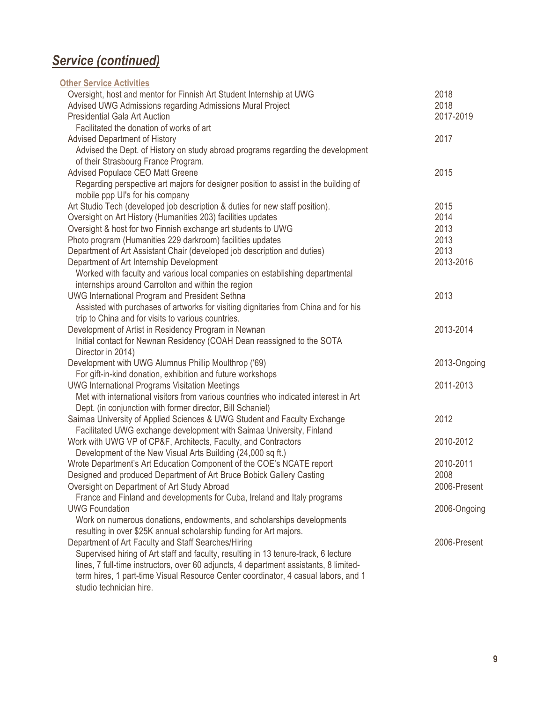## *Service (continued)*

| <b>Other Service Activities</b>                                                       |              |
|---------------------------------------------------------------------------------------|--------------|
| Oversight, host and mentor for Finnish Art Student Internship at UWG                  | 2018         |
| Advised UWG Admissions regarding Admissions Mural Project                             | 2018         |
| <b>Presidential Gala Art Auction</b>                                                  | 2017-2019    |
| Facilitated the donation of works of art                                              |              |
| <b>Advised Department of History</b>                                                  | 2017         |
| Advised the Dept. of History on study abroad programs regarding the development       |              |
| of their Strasbourg France Program.                                                   |              |
| Advised Populace CEO Matt Greene                                                      | 2015         |
| Regarding perspective art majors for designer position to assist in the building of   |              |
| mobile ppp UI's for his company                                                       |              |
| Art Studio Tech (developed job description & duties for new staff position).          | 2015         |
| Oversight on Art History (Humanities 203) facilities updates                          | 2014         |
| Oversight & host for two Finnish exchange art students to UWG                         | 2013         |
| Photo program (Humanities 229 darkroom) facilities updates                            | 2013         |
| Department of Art Assistant Chair (developed job description and duties)              | 2013         |
| Department of Art Internship Development                                              | 2013-2016    |
| Worked with faculty and various local companies on establishing departmental          |              |
| internships around Carrolton and within the region                                    |              |
| <b>UWG International Program and President Sethna</b>                                 | 2013         |
| Assisted with purchases of artworks for visiting dignitaries from China and for his   |              |
| trip to China and for visits to various countries.                                    |              |
| Development of Artist in Residency Program in Newnan                                  | 2013-2014    |
| Initial contact for Newnan Residency (COAH Dean reassigned to the SOTA                |              |
| Director in 2014)                                                                     |              |
| Development with UWG Alumnus Phillip Moulthrop ('69)                                  | 2013-Ongoing |
| For gift-in-kind donation, exhibition and future workshops                            |              |
| <b>UWG International Programs Visitation Meetings</b>                                 | 2011-2013    |
| Met with international visitors from various countries who indicated interest in Art  |              |
| Dept. (in conjunction with former director, Bill Schaniel)                            |              |
| Saimaa University of Applied Sciences & UWG Student and Faculty Exchange              | 2012         |
| Facilitated UWG exchange development with Saimaa University, Finland                  |              |
| Work with UWG VP of CP&F, Architects, Faculty, and Contractors                        | 2010-2012    |
| Development of the New Visual Arts Building (24,000 sq ft.)                           |              |
| Wrote Department's Art Education Component of the COE's NCATE report                  | 2010-2011    |
| Designed and produced Department of Art Bruce Bobick Gallery Casting                  | 2008         |
| Oversight on Department of Art Study Abroad                                           | 2006-Present |
| France and Finland and developments for Cuba, Ireland and Italy programs              |              |
| <b>UWG Foundation</b>                                                                 | 2006-Ongoing |
| Work on numerous donations, endowments, and scholarships developments                 |              |
| resulting in over \$25K annual scholarship funding for Art majors.                    |              |
| Department of Art Faculty and Staff Searches/Hiring                                   | 2006-Present |
| Supervised hiring of Art staff and faculty, resulting in 13 tenure-track, 6 lecture   |              |
| lines, 7 full-time instructors, over 60 adjuncts, 4 department assistants, 8 limited- |              |
| term hires, 1 part-time Visual Resource Center coordinator, 4 casual labors, and 1    |              |
| studio technician hire.                                                               |              |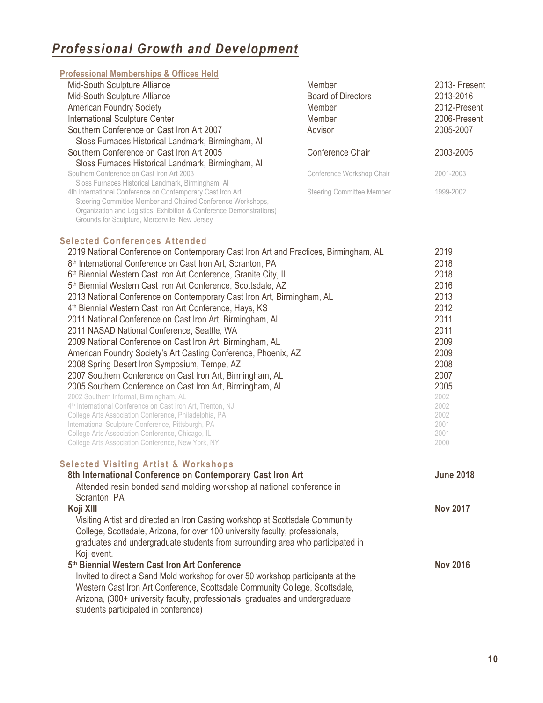## *Professional Growth and Development*

| <b>Professional Memberships &amp; Offices Held</b>                  |                                  |               |
|---------------------------------------------------------------------|----------------------------------|---------------|
| Mid-South Sculpture Alliance                                        | Member                           | 2013- Present |
| Mid-South Sculpture Alliance                                        | <b>Board of Directors</b>        | 2013-2016     |
| <b>American Foundry Society</b>                                     | <b>Member</b>                    | 2012-Present  |
| <b>International Sculpture Center</b>                               | <b>Member</b>                    | 2006-Present  |
| Southern Conference on Cast Iron Art 2007                           | Advisor                          | 2005-2007     |
| Sloss Furnaces Historical Landmark, Birmingham, Al                  |                                  |               |
| Southern Conference on Cast Iron Art 2005                           | Conference Chair                 | 2003-2005     |
| Sloss Furnaces Historical Landmark, Birmingham, Al                  |                                  |               |
| Southern Conference on Cast Iron Art 2003                           | Conference Workshop Chair        | 2001-2003     |
| Sloss Furnaces Historical Landmark, Birmingham, Al                  |                                  |               |
| 4th International Conference on Contemporary Cast Iron Art          | <b>Steering Committee Member</b> | 1999-2002     |
| Steering Committee Member and Chaired Conference Workshops,         |                                  |               |
| Organization and Logistics, Exhibition & Conference Demonstrations) |                                  |               |

#### **Selected Conferences Attended**

Grounds for Sculpture, Mercerville, New Jersey

| 2019         |
|--------------|
| 2018         |
| 2018         |
| 2016         |
| 2013         |
| 2012         |
| 2011         |
| 2011         |
| 2009         |
| 2009         |
| 2008         |
| 2007         |
| 2005         |
| 2002         |
| 2002<br>2002 |
| 2001         |
| 2001         |
| 2000         |
|              |

#### **Selected Visiting Artist & Workshops**

| 8th International Conference on Contemporary Cast Iron Art                      | <b>June 2018</b> |
|---------------------------------------------------------------------------------|------------------|
| Attended resin bonded sand molding workshop at national conference in           |                  |
| Scranton, PA                                                                    |                  |
| Koji XIII                                                                       | <b>Nov 2017</b>  |
| Visiting Artist and directed an Iron Casting workshop at Scottsdale Community   |                  |
| College, Scottsdale, Arizona, for over 100 university faculty, professionals,   |                  |
| graduates and undergraduate students from surrounding area who participated in  |                  |
| Koji event.                                                                     |                  |
| 5th Biennial Western Cast Iron Art Conference                                   | <b>Nov 2016</b>  |
| Invited to direct a Sand Mold workshop for over 50 workshop participants at the |                  |
| Western Cast Iron Art Conference, Scottsdale Community College, Scottsdale,     |                  |
| Arizona, (300+ university faculty, professionals, graduates and undergraduate   |                  |
| students participated in conference)                                            |                  |
|                                                                                 |                  |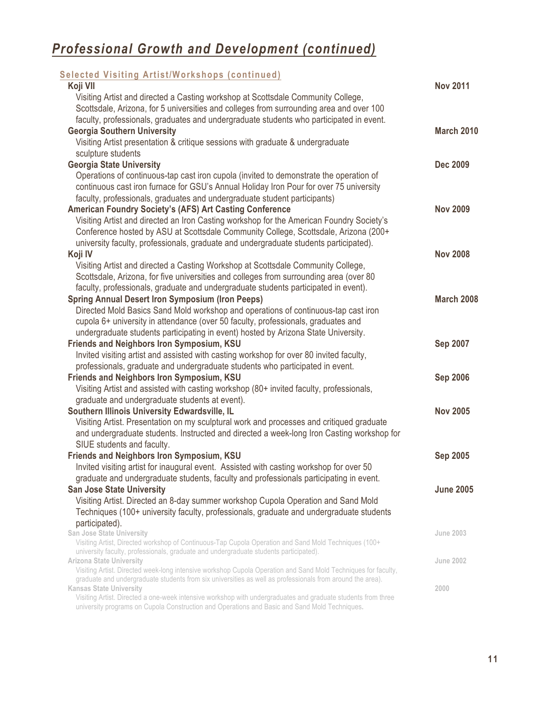| <b>Selected Visiting Artist/Workshops (continued)</b>                                                                                                                                                         |                   |
|---------------------------------------------------------------------------------------------------------------------------------------------------------------------------------------------------------------|-------------------|
| Koji VII                                                                                                                                                                                                      | <b>Nov 2011</b>   |
| Visiting Artist and directed a Casting workshop at Scottsdale Community College,                                                                                                                              |                   |
| Scottsdale, Arizona, for 5 universities and colleges from surrounding area and over 100                                                                                                                       |                   |
| faculty, professionals, graduates and undergraduate students who participated in event.                                                                                                                       |                   |
| <b>Georgia Southern University</b>                                                                                                                                                                            | <b>March 2010</b> |
| Visiting Artist presentation & critique sessions with graduate & undergraduate                                                                                                                                |                   |
| sculpture students                                                                                                                                                                                            |                   |
| <b>Georgia State University</b>                                                                                                                                                                               | <b>Dec 2009</b>   |
| Operations of continuous-tap cast iron cupola (invited to demonstrate the operation of                                                                                                                        |                   |
| continuous cast iron furnace for GSU's Annual Holiday Iron Pour for over 75 university                                                                                                                        |                   |
| faculty, professionals, graduates and undergraduate student participants)                                                                                                                                     |                   |
| <b>American Foundry Society's (AFS) Art Casting Conference</b>                                                                                                                                                | <b>Nov 2009</b>   |
| Visiting Artist and directed an Iron Casting workshop for the American Foundry Society's                                                                                                                      |                   |
| Conference hosted by ASU at Scottsdale Community College, Scottsdale, Arizona (200+                                                                                                                           |                   |
| university faculty, professionals, graduate and undergraduate students participated).                                                                                                                         |                   |
| Koji IV                                                                                                                                                                                                       | <b>Nov 2008</b>   |
| Visiting Artist and directed a Casting Workshop at Scottsdale Community College,                                                                                                                              |                   |
| Scottsdale, Arizona, for five universities and colleges from surrounding area (over 80                                                                                                                        |                   |
| faculty, professionals, graduate and undergraduate students participated in event).                                                                                                                           |                   |
| <b>Spring Annual Desert Iron Symposium (Iron Peeps)</b>                                                                                                                                                       | March 2008        |
| Directed Mold Basics Sand Mold workshop and operations of continuous-tap cast iron                                                                                                                            |                   |
| cupola 6+ university in attendance (over 50 faculty, professionals, graduates and                                                                                                                             |                   |
| undergraduate students participating in event) hosted by Arizona State University.                                                                                                                            |                   |
| <b>Friends and Neighbors Iron Symposium, KSU</b>                                                                                                                                                              | <b>Sep 2007</b>   |
| Invited visiting artist and assisted with casting workshop for over 80 invited faculty,                                                                                                                       |                   |
| professionals, graduate and undergraduate students who participated in event.                                                                                                                                 |                   |
| <b>Friends and Neighbors Iron Symposium, KSU</b>                                                                                                                                                              | <b>Sep 2006</b>   |
| Visiting Artist and assisted with casting workshop (80+ invited faculty, professionals,                                                                                                                       |                   |
| graduate and undergraduate students at event).                                                                                                                                                                |                   |
| Southern Illinois University Edwardsville, IL                                                                                                                                                                 | <b>Nov 2005</b>   |
| Visiting Artist. Presentation on my sculptural work and processes and critiqued graduate                                                                                                                      |                   |
| and undergraduate students. Instructed and directed a week-long Iron Casting workshop for                                                                                                                     |                   |
| SIUE students and faculty.                                                                                                                                                                                    |                   |
| <b>Friends and Neighbors Iron Symposium, KSU</b>                                                                                                                                                              | <b>Sep 2005</b>   |
| Invited visiting artist for inaugural event. Assisted with casting workshop for over 50                                                                                                                       |                   |
| graduate and undergraduate students, faculty and professionals participating in event.                                                                                                                        |                   |
| <b>San Jose State University</b>                                                                                                                                                                              | <b>June 2005</b>  |
| Visiting Artist. Directed an 8-day summer workshop Cupola Operation and Sand Mold                                                                                                                             |                   |
| Techniques (100+ university faculty, professionals, graduate and undergraduate students                                                                                                                       |                   |
| participated).                                                                                                                                                                                                |                   |
| <b>San Jose State University</b>                                                                                                                                                                              | <b>June 2003</b>  |
| Visiting Artist, Directed workshop of Continuous-Tap Cupola Operation and Sand Mold Techniques (100+<br>university faculty, professionals, graduate and undergraduate students participated).                 |                   |
| <b>Arizona State University</b>                                                                                                                                                                               | <b>June 2002</b>  |
| Visiting Artist. Directed week-long intensive workshop Cupola Operation and Sand Mold Techniques for faculty,                                                                                                 |                   |
| graduate and undergraduate students from six universities as well as professionals from around the area).                                                                                                     |                   |
| <b>Kansas State University</b>                                                                                                                                                                                | 2000              |
| Visiting Artist. Directed a one-week intensive workshop with undergraduates and graduate students from three<br>university programs on Cupola Construction and Operations and Basic and Sand Mold Techniques. |                   |
|                                                                                                                                                                                                               |                   |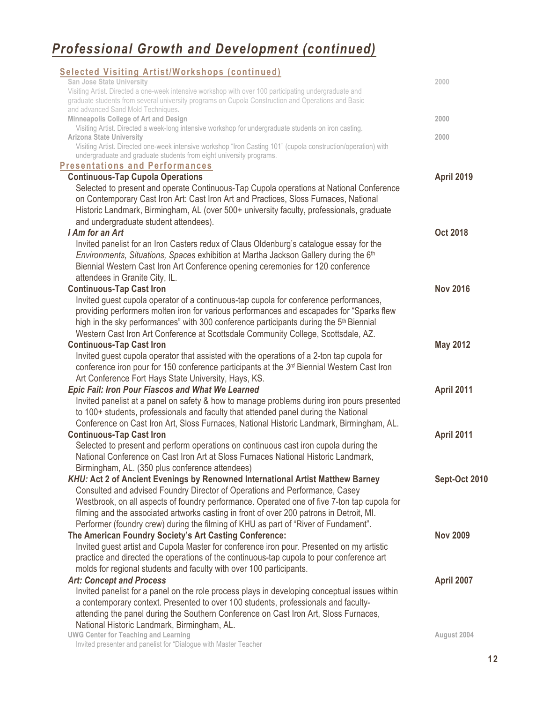| <b>Selected Visiting Artist/Workshops (continued)</b>                                                                                                                                                       |                      |
|-------------------------------------------------------------------------------------------------------------------------------------------------------------------------------------------------------------|----------------------|
| San Jose State University                                                                                                                                                                                   | 2000                 |
| Visiting Artist. Directed a one-week intensive workshop with over 100 participating undergraduate and<br>graduate students from several university programs on Cupola Construction and Operations and Basic |                      |
| and advanced Sand Mold Techniques.                                                                                                                                                                          |                      |
| Minneapolis College of Art and Design                                                                                                                                                                       | 2000                 |
| Visiting Artist. Directed a week-long intensive workshop for undergraduate students on iron casting.<br><b>Arizona State University</b>                                                                     | 2000                 |
| Visiting Artist. Directed one-week intensive workshop "Iron Casting 101" (cupola construction/operation) with                                                                                               |                      |
| undergraduate and graduate students from eight university programs.                                                                                                                                         |                      |
| <b>Presentations and Performances</b>                                                                                                                                                                       |                      |
| <b>Continuous-Tap Cupola Operations</b>                                                                                                                                                                     | <b>April 2019</b>    |
| Selected to present and operate Continuous-Tap Cupola operations at National Conference                                                                                                                     |                      |
| on Contemporary Cast Iron Art: Cast Iron Art and Practices, Sloss Furnaces, National                                                                                                                        |                      |
| Historic Landmark, Birmingham, AL (over 500+ university faculty, professionals, graduate<br>and undergraduate student attendees).                                                                           |                      |
| I Am for an Art                                                                                                                                                                                             | <b>Oct 2018</b>      |
| Invited panelist for an Iron Casters redux of Claus Oldenburg's catalogue essay for the                                                                                                                     |                      |
| Environments, Situations, Spaces exhibition at Martha Jackson Gallery during the 6th                                                                                                                        |                      |
| Biennial Western Cast Iron Art Conference opening ceremonies for 120 conference                                                                                                                             |                      |
| attendees in Granite City, IL.                                                                                                                                                                              |                      |
| <b>Continuous-Tap Cast Iron</b>                                                                                                                                                                             | <b>Nov 2016</b>      |
| Invited guest cupola operator of a continuous-tap cupola for conference performances,                                                                                                                       |                      |
| providing performers molten iron for various performances and escapades for "Sparks flew                                                                                                                    |                      |
| high in the sky performances" with 300 conference participants during the 5 <sup>th</sup> Biennial                                                                                                          |                      |
| Western Cast Iron Art Conference at Scottsdale Community College, Scottsdale, AZ.                                                                                                                           |                      |
| <b>Continuous-Tap Cast Iron</b>                                                                                                                                                                             | <b>May 2012</b>      |
| Invited guest cupola operator that assisted with the operations of a 2-ton tap cupola for                                                                                                                   |                      |
| conference iron pour for 150 conference participants at the 3rd Biennial Western Cast Iron                                                                                                                  |                      |
| Art Conference Fort Hays State University, Hays, KS.                                                                                                                                                        |                      |
| <b>Epic Fail: Iron Pour Fiascos and What We Learned</b>                                                                                                                                                     | April 2011           |
| Invited panelist at a panel on safety & how to manage problems during iron pours presented                                                                                                                  |                      |
| to 100+ students, professionals and faculty that attended panel during the National                                                                                                                         |                      |
| Conference on Cast Iron Art, Sloss Furnaces, National Historic Landmark, Birmingham, AL.<br><b>Continuous-Tap Cast Iron</b>                                                                                 | April 2011           |
| Selected to present and perform operations on continuous cast iron cupola during the                                                                                                                        |                      |
| National Conference on Cast Iron Art at Sloss Furnaces National Historic Landmark,                                                                                                                          |                      |
| Birmingham, AL. (350 plus conference attendees)                                                                                                                                                             |                      |
| KHU: Act 2 of Ancient Evenings by Renowned International Artist Matthew Barney                                                                                                                              | <b>Sept-Oct 2010</b> |
| Consulted and advised Foundry Director of Operations and Performance, Casey                                                                                                                                 |                      |
| Westbrook, on all aspects of foundry performance. Operated one of five 7-ton tap cupola for                                                                                                                 |                      |
| filming and the associated artworks casting in front of over 200 patrons in Detroit, MI.                                                                                                                    |                      |
| Performer (foundry crew) during the filming of KHU as part of "River of Fundament".                                                                                                                         |                      |
| The American Foundry Society's Art Casting Conference:                                                                                                                                                      | <b>Nov 2009</b>      |
| Invited guest artist and Cupola Master for conference iron pour. Presented on my artistic                                                                                                                   |                      |
| practice and directed the operations of the continuous-tap cupola to pour conference art                                                                                                                    |                      |
| molds for regional students and faculty with over 100 participants.                                                                                                                                         |                      |
| <b>Art: Concept and Process</b>                                                                                                                                                                             | April 2007           |
| Invited panelist for a panel on the role process plays in developing conceptual issues within                                                                                                               |                      |
| a contemporary context. Presented to over 100 students, professionals and faculty-                                                                                                                          |                      |
| attending the panel during the Southern Conference on Cast Iron Art, Sloss Furnaces,<br>National Historic Landmark, Birmingham, AL.                                                                         |                      |
| <b>UWG Center for Teaching and Learning</b>                                                                                                                                                                 | August 2004          |
| Invited presenter and panelist for "Dialogue with Master Teacher                                                                                                                                            |                      |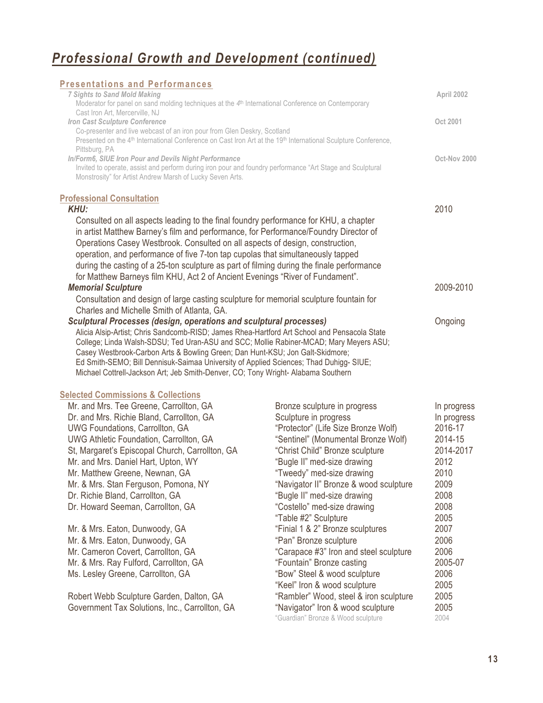| <b>Presentations and Performances</b>                                                                                                                                                                                                                                                                                                                                                                                                                                                                                          |                                                                             |              |
|--------------------------------------------------------------------------------------------------------------------------------------------------------------------------------------------------------------------------------------------------------------------------------------------------------------------------------------------------------------------------------------------------------------------------------------------------------------------------------------------------------------------------------|-----------------------------------------------------------------------------|--------------|
| <b>7 Sights to Sand Mold Making</b><br>Moderator for panel on sand molding techniques at the 4 <sup>th</sup> International Conference on Contemporary                                                                                                                                                                                                                                                                                                                                                                          |                                                                             | April 2002   |
| Cast Iron Art, Mercerville, NJ                                                                                                                                                                                                                                                                                                                                                                                                                                                                                                 |                                                                             |              |
| Iron Cast Sculpture Conference                                                                                                                                                                                                                                                                                                                                                                                                                                                                                                 |                                                                             | Oct 2001     |
| Co-presenter and live webcast of an iron pour from Glen Deskry, Scotland<br>Presented on the 4 <sup>th</sup> International Conference on Cast Iron Art at the 19 <sup>th</sup> International Sculpture Conference,                                                                                                                                                                                                                                                                                                             |                                                                             |              |
| Pittsburg, PA                                                                                                                                                                                                                                                                                                                                                                                                                                                                                                                  |                                                                             |              |
| In/Form6, SIUE Iron Pour and Devils Night Performance                                                                                                                                                                                                                                                                                                                                                                                                                                                                          |                                                                             | Oct-Nov 2000 |
| Invited to operate, assist and perform during iron pour and foundry performance "Art Stage and Sculptural<br>Monstrosity" for Artist Andrew Marsh of Lucky Seven Arts.                                                                                                                                                                                                                                                                                                                                                         |                                                                             |              |
| <b>Professional Consultation</b>                                                                                                                                                                                                                                                                                                                                                                                                                                                                                               |                                                                             |              |
| <b>KHU:</b>                                                                                                                                                                                                                                                                                                                                                                                                                                                                                                                    |                                                                             | 2010         |
| Consulted on all aspects leading to the final foundry performance for KHU, a chapter<br>in artist Matthew Barney's film and performance, for Performance/Foundry Director of<br>Operations Casey Westbrook. Consulted on all aspects of design, construction,<br>operation, and performance of five 7-ton tap cupolas that simultaneously tapped<br>during the casting of a 25-ton sculpture as part of filming during the finale performance<br>for Matthew Barneys film KHU, Act 2 of Ancient Evenings "River of Fundament". |                                                                             |              |
| <b>Memorial Sculpture</b>                                                                                                                                                                                                                                                                                                                                                                                                                                                                                                      |                                                                             | 2009-2010    |
| Consultation and design of large casting sculpture for memorial sculpture fountain for                                                                                                                                                                                                                                                                                                                                                                                                                                         |                                                                             |              |
| Charles and Michelle Smith of Atlanta, GA.                                                                                                                                                                                                                                                                                                                                                                                                                                                                                     |                                                                             |              |
| Sculptural Processes (design, operations and sculptural processes)                                                                                                                                                                                                                                                                                                                                                                                                                                                             |                                                                             | Ongoing      |
| Alicia Alsip-Artist; Chris Sandcomb-RISD; James Rhea-Hartford Art School and Pensacola State                                                                                                                                                                                                                                                                                                                                                                                                                                   |                                                                             |              |
| College; Linda Walsh-SDSU; Ted Uran-ASU and SCC; Mollie Rabiner-MCAD; Mary Meyers ASU;                                                                                                                                                                                                                                                                                                                                                                                                                                         |                                                                             |              |
| Casey Westbrook-Carbon Arts & Bowling Green; Dan Hunt-KSU; Jon Galt-Skidmore;                                                                                                                                                                                                                                                                                                                                                                                                                                                  |                                                                             |              |
| Ed Smith-SEMO; Bill Dennisuk-Saimaa University of Applied Sciences; Thad Duhigg- SIUE;<br>Michael Cottrell-Jackson Art; Jeb Smith-Denver, CO; Tony Wright- Alabama Southern                                                                                                                                                                                                                                                                                                                                                    |                                                                             |              |
|                                                                                                                                                                                                                                                                                                                                                                                                                                                                                                                                |                                                                             |              |
| <b>Selected Commissions &amp; Collections</b>                                                                                                                                                                                                                                                                                                                                                                                                                                                                                  |                                                                             |              |
| Mr. and Mrs. Tee Greene, Carrollton, GA                                                                                                                                                                                                                                                                                                                                                                                                                                                                                        | Bronze sculpture in progress                                                | In progress  |
| Dr. and Mrs. Richie Bland, Carrollton, GA                                                                                                                                                                                                                                                                                                                                                                                                                                                                                      | Sculpture in progress                                                       | In progress  |
| UWG Foundations, Carrollton, GA                                                                                                                                                                                                                                                                                                                                                                                                                                                                                                | "Protector" (Life Size Bronze Wolf)                                         | 2016-17      |
| UWG Athletic Foundation, Carrollton, GA                                                                                                                                                                                                                                                                                                                                                                                                                                                                                        | "Sentinel" (Monumental Bronze Wolf)                                         | 2014-15      |
| St, Margaret's Episcopal Church, Carrollton, GA                                                                                                                                                                                                                                                                                                                                                                                                                                                                                | "Christ Child" Bronze sculpture                                             | 2014-2017    |
| Mr. and Mrs. Daniel Hart, Upton, WY                                                                                                                                                                                                                                                                                                                                                                                                                                                                                            | "Bugle II" med-size drawing                                                 | 2012         |
| Mr. Matthew Greene, Newnan, GA                                                                                                                                                                                                                                                                                                                                                                                                                                                                                                 | "Tweedy" med-size drawing                                                   | 2010         |
| Mr. & Mrs. Stan Ferguson, Pomona, NY                                                                                                                                                                                                                                                                                                                                                                                                                                                                                           | "Navigator II" Bronze & wood sculpture                                      | 2009         |
| Dr. Richie Bland, Carrollton, GA                                                                                                                                                                                                                                                                                                                                                                                                                                                                                               | "Bugle II" med-size drawing                                                 | 2008         |
| Dr. Howard Seeman, Carrollton, GA                                                                                                                                                                                                                                                                                                                                                                                                                                                                                              | "Costello" med-size drawing                                                 | 2008         |
|                                                                                                                                                                                                                                                                                                                                                                                                                                                                                                                                | "Table #2" Sculpture                                                        | 2005         |
| Mr. & Mrs. Eaton, Dunwoody, GA                                                                                                                                                                                                                                                                                                                                                                                                                                                                                                 | "Finial 1 & 2" Bronze sculptures                                            | 2007         |
| Mr. & Mrs. Eaton, Dunwoody, GA                                                                                                                                                                                                                                                                                                                                                                                                                                                                                                 | "Pan" Bronze sculpture                                                      | 2006         |
| Mr. Cameron Covert, Carrollton, GA                                                                                                                                                                                                                                                                                                                                                                                                                                                                                             | "Carapace #3" Iron and steel sculpture                                      | 2006         |
| Mr. & Mrs. Ray Fulford, Carrollton, GA                                                                                                                                                                                                                                                                                                                                                                                                                                                                                         | "Fountain" Bronze casting                                                   | 2005-07      |
| Ms. Lesley Greene, Carrollton, GA                                                                                                                                                                                                                                                                                                                                                                                                                                                                                              | "Bow" Steel & wood sculpture                                                | 2006         |
|                                                                                                                                                                                                                                                                                                                                                                                                                                                                                                                                | "Keel" Iron & wood sculpture                                                | 2005<br>2005 |
| Robert Webb Sculpture Garden, Dalton, GA<br>Government Tax Solutions, Inc., Carrollton, GA                                                                                                                                                                                                                                                                                                                                                                                                                                     | "Rambler" Wood, steel & iron sculpture<br>"Navigator" Iron & wood sculpture | 2005         |
|                                                                                                                                                                                                                                                                                                                                                                                                                                                                                                                                | "Guardian" Bronze & Wood sculpture                                          | 2004         |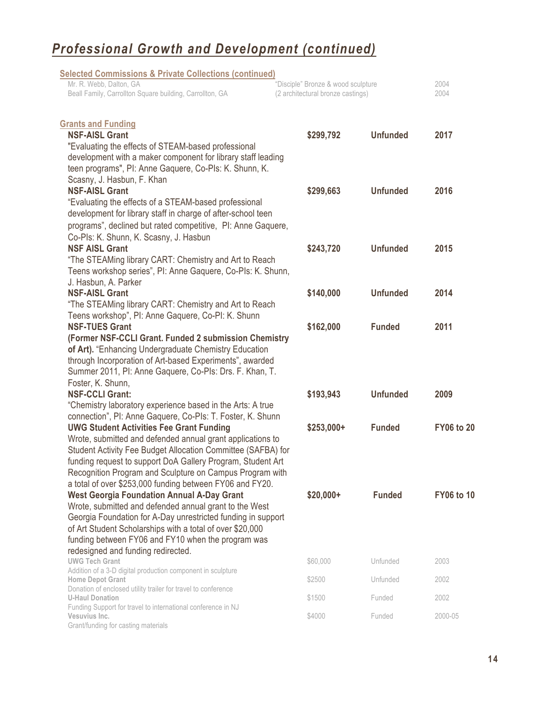| <b>Selected Commissions &amp; Private Collections (continued)</b>                                              |                                    |                 |                   |
|----------------------------------------------------------------------------------------------------------------|------------------------------------|-----------------|-------------------|
| Mr. R. Webb, Dalton, GA                                                                                        | "Disciple" Bronze & wood sculpture |                 | 2004              |
| Beall Family, Carrollton Square building, Carrollton, GA                                                       | (2 architectural bronze castings)  |                 | 2004              |
| <b>Grants and Funding</b>                                                                                      |                                    |                 |                   |
| <b>NSF-AISL Grant</b>                                                                                          | \$299,792                          | <b>Unfunded</b> | 2017              |
| "Evaluating the effects of STEAM-based professional                                                            |                                    |                 |                   |
| development with a maker component for library staff leading                                                   |                                    |                 |                   |
| teen programs", PI: Anne Gaquere, Co-PIs: K. Shunn, K.                                                         |                                    |                 |                   |
| Scasny, J. Hasbun, F. Khan                                                                                     |                                    |                 |                   |
| <b>NSF-AISL Grant</b>                                                                                          | \$299,663                          | <b>Unfunded</b> | 2016              |
| "Evaluating the effects of a STEAM-based professional                                                          |                                    |                 |                   |
| development for library staff in charge of after-school teen                                                   |                                    |                 |                   |
| programs", declined but rated competitive, PI: Anne Gaquere,                                                   |                                    |                 |                   |
| Co-Pls: K. Shunn, K. Scasny, J. Hasbun                                                                         |                                    |                 |                   |
| <b>NSF AISL Grant</b>                                                                                          | \$243,720                          | <b>Unfunded</b> | 2015              |
| "The STEAMing library CART: Chemistry and Art to Reach                                                         |                                    |                 |                   |
| Teens workshop series", PI: Anne Gaquere, Co-PIs: K. Shunn,                                                    |                                    |                 |                   |
| J. Hasbun, A. Parker                                                                                           |                                    |                 |                   |
| <b>NSF-AISL Grant</b>                                                                                          | \$140,000                          | <b>Unfunded</b> | 2014              |
| "The STEAMing library CART: Chemistry and Art to Reach                                                         |                                    |                 |                   |
| Teens workshop", PI: Anne Gaquere, Co-PI: K. Shunn                                                             |                                    |                 |                   |
| <b>NSF-TUES Grant</b>                                                                                          | \$162,000                          | <b>Funded</b>   | 2011              |
| (Former NSF-CCLI Grant. Funded 2 submission Chemistry<br>of Art). "Enhancing Undergraduate Chemistry Education |                                    |                 |                   |
| through Incorporation of Art-based Experiments", awarded                                                       |                                    |                 |                   |
| Summer 2011, PI: Anne Gaquere, Co-PIs: Drs. F. Khan, T.                                                        |                                    |                 |                   |
| Foster, K. Shunn,                                                                                              |                                    |                 |                   |
| <b>NSF-CCLI Grant:</b>                                                                                         | \$193,943                          | <b>Unfunded</b> | 2009              |
| "Chemistry laboratory experience based in the Arts: A true                                                     |                                    |                 |                   |
| connection", PI: Anne Gaquere, Co-PIs: T. Foster, K. Shunn                                                     |                                    |                 |                   |
| <b>UWG Student Activities Fee Grant Funding</b>                                                                | $$253,000+$                        | <b>Funded</b>   | <b>FY06 to 20</b> |
| Wrote, submitted and defended annual grant applications to                                                     |                                    |                 |                   |
| Student Activity Fee Budget Allocation Committee (SAFBA) for                                                   |                                    |                 |                   |
| funding request to support DoA Gallery Program, Student Art                                                    |                                    |                 |                   |
| Recognition Program and Sculpture on Campus Program with                                                       |                                    |                 |                   |
| a total of over \$253,000 funding between FY06 and FY20.                                                       |                                    |                 |                   |
| <b>West Georgia Foundation Annual A-Day Grant</b>                                                              | \$20,000+                          | <b>Funded</b>   | <b>FY06 to 10</b> |
| Wrote, submitted and defended annual grant to the West                                                         |                                    |                 |                   |
| Georgia Foundation for A-Day unrestricted funding in support                                                   |                                    |                 |                   |
| of Art Student Scholarships with a total of over \$20,000                                                      |                                    |                 |                   |
| funding between FY06 and FY10 when the program was                                                             |                                    |                 |                   |
| redesigned and funding redirected.                                                                             |                                    |                 |                   |
| <b>UWG Tech Grant</b><br>Addition of a 3-D digital production component in sculpture                           | \$60,000                           | Unfunded        | 2003              |
| <b>Home Depot Grant</b>                                                                                        | \$2500                             | Unfunded        | 2002              |
| Donation of enclosed utility trailer for travel to conference                                                  |                                    |                 |                   |
| <b>U-Haul Donation</b>                                                                                         | \$1500                             | Funded          | 2002              |
| Funding Support for travel to international conference in NJ<br>Vesuvius Inc.                                  | \$4000                             | Funded          | 2000-05           |
| Grant/funding for casting materials                                                                            |                                    |                 |                   |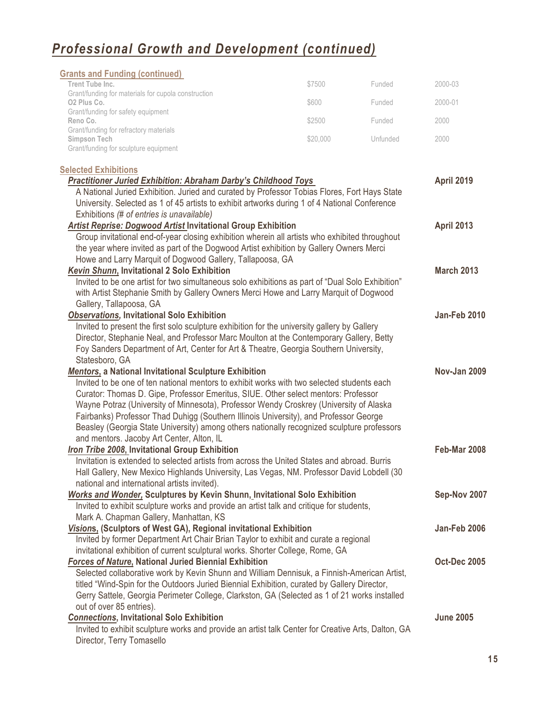| <b>Grants and Funding (continued)</b>                                                                                                                       |          |          |                     |
|-------------------------------------------------------------------------------------------------------------------------------------------------------------|----------|----------|---------------------|
| Trent Tube Inc.                                                                                                                                             | \$7500   | Funded   | 2000-03             |
| Grant/funding for materials for cupola construction<br>O <sub>2</sub> Plus Co.                                                                              | \$600    | Funded   | 2000-01             |
| Grant/funding for safety equipment                                                                                                                          |          |          |                     |
| Reno Co.<br>Grant/funding for refractory materials                                                                                                          | \$2500   | Funded   | 2000                |
| <b>Simpson Tech</b>                                                                                                                                         | \$20,000 | Unfunded | 2000                |
| Grant/funding for sculpture equipment                                                                                                                       |          |          |                     |
| <b>Selected Exhibitions</b>                                                                                                                                 |          |          |                     |
| <b>Practitioner Juried Exhibition: Abraham Darby's Childhood Toys</b>                                                                                       |          |          | <b>April 2019</b>   |
| A National Juried Exhibition. Juried and curated by Professor Tobias Flores, Fort Hays State                                                                |          |          |                     |
| University. Selected as 1 of 45 artists to exhibit artworks during 1 of 4 National Conference                                                               |          |          |                     |
| Exhibitions (# of entries is unavailable)                                                                                                                   |          |          |                     |
| <b>Artist Reprise: Dogwood Artist Invitational Group Exhibition</b>                                                                                         |          |          | <b>April 2013</b>   |
| Group invitational end-of-year closing exhibition wherein all artists who exhibited throughout                                                              |          |          |                     |
| the year where invited as part of the Dogwood Artist exhibition by Gallery Owners Merci                                                                     |          |          |                     |
| Howe and Larry Marquit of Dogwood Gallery, Tallapoosa, GA                                                                                                   |          |          |                     |
| Kevin Shunn, Invitational 2 Solo Exhibition                                                                                                                 |          |          | <b>March 2013</b>   |
| Invited to be one artist for two simultaneous solo exhibitions as part of "Dual Solo Exhibition"                                                            |          |          |                     |
| with Artist Stephanie Smith by Gallery Owners Merci Howe and Larry Marquit of Dogwood                                                                       |          |          |                     |
| Gallery, Tallapoosa, GA<br><b>Observations, Invitational Solo Exhibition</b>                                                                                |          |          | <b>Jan-Feb 2010</b> |
| Invited to present the first solo sculpture exhibition for the university gallery by Gallery                                                                |          |          |                     |
| Director, Stephanie Neal, and Professor Marc Moulton at the Contemporary Gallery, Betty                                                                     |          |          |                     |
| Foy Sanders Department of Art, Center for Art & Theatre, Georgia Southern University,                                                                       |          |          |                     |
| Statesboro, GA                                                                                                                                              |          |          |                     |
| Mentors, a National Invitational Sculpture Exhibition                                                                                                       |          |          | <b>Nov-Jan 2009</b> |
| Invited to be one of ten national mentors to exhibit works with two selected students each                                                                  |          |          |                     |
| Curator: Thomas D. Gipe, Professor Emeritus, SIUE. Other select mentors: Professor                                                                          |          |          |                     |
| Wayne Potraz (University of Minnesota), Professor Wendy Croskrey (University of Alaska                                                                      |          |          |                     |
| Fairbanks) Professor Thad Duhigg (Southern Illinois University), and Professor George                                                                       |          |          |                     |
| Beasley (Georgia State University) among others nationally recognized sculpture professors                                                                  |          |          |                     |
| and mentors. Jacoby Art Center, Alton, IL                                                                                                                   |          |          |                     |
| Iron Tribe 2008, Invitational Group Exhibition                                                                                                              |          |          | Feb-Mar 2008        |
| Invitation is extended to selected artists from across the United States and abroad. Burris                                                                 |          |          |                     |
| Hall Gallery, New Mexico Highlands University, Las Vegas, NM. Professor David Lobdell (30                                                                   |          |          |                     |
| national and international artists invited).                                                                                                                |          |          |                     |
| Works and Wonder, Sculptures by Kevin Shunn, Invitational Solo Exhibition                                                                                   |          |          | Sep-Nov 2007        |
| Invited to exhibit sculpture works and provide an artist talk and critique for students,                                                                    |          |          |                     |
| Mark A. Chapman Gallery, Manhattan, KS                                                                                                                      |          |          |                     |
| Visions, (Sculptors of West GA), Regional invitational Exhibition                                                                                           |          |          | <b>Jan-Feb 2006</b> |
| Invited by former Department Art Chair Brian Taylor to exhibit and curate a regional                                                                        |          |          |                     |
| invitational exhibition of current sculptural works. Shorter College, Rome, GA                                                                              |          |          | <b>Oct-Dec 2005</b> |
| <b>Forces of Nature, National Juried Biennial Exhibition</b><br>Selected collaborative work by Kevin Shunn and William Dennisuk, a Finnish-American Artist, |          |          |                     |
| titled "Wind-Spin for the Outdoors Juried Biennial Exhibition, curated by Gallery Director,                                                                 |          |          |                     |
| Gerry Sattele, Georgia Perimeter College, Clarkston, GA (Selected as 1 of 21 works installed                                                                |          |          |                     |
| out of over 85 entries).                                                                                                                                    |          |          |                     |
| <b>Connections, Invitational Solo Exhibition</b>                                                                                                            |          |          | <b>June 2005</b>    |
| Invited to exhibit sculpture works and provide an artist talk Center for Creative Arts, Dalton, GA                                                          |          |          |                     |
| Director, Terry Tomasello                                                                                                                                   |          |          |                     |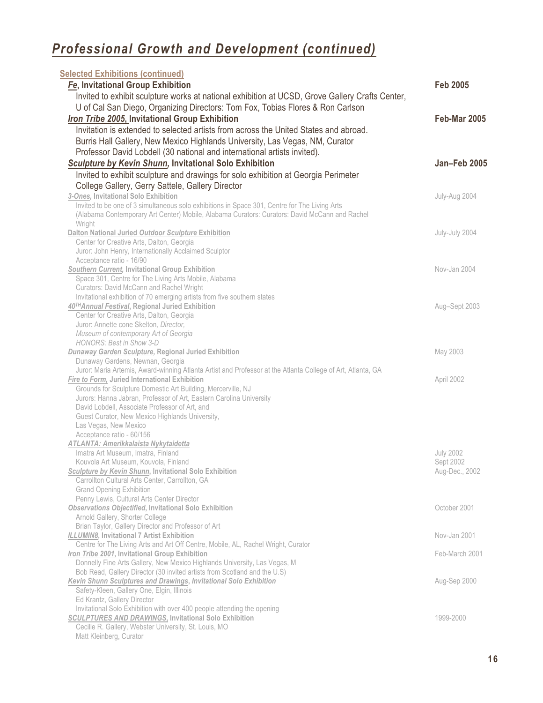| <b>Selected Exhibitions (continued)</b>                                                                       |                     |
|---------------------------------------------------------------------------------------------------------------|---------------------|
| Fe, Invitational Group Exhibition                                                                             | <b>Feb 2005</b>     |
| Invited to exhibit sculpture works at national exhibition at UCSD, Grove Gallery Crafts Center,               |                     |
| U of Cal San Diego, Organizing Directors: Tom Fox, Tobias Flores & Ron Carlson                                |                     |
| Iron Tribe 2005, Invitational Group Exhibition                                                                | <b>Feb-Mar 2005</b> |
|                                                                                                               |                     |
| Invitation is extended to selected artists from across the United States and abroad.                          |                     |
| Burris Hall Gallery, New Mexico Highlands University, Las Vegas, NM, Curator                                  |                     |
| Professor David Lobdell (30 national and international artists invited).                                      |                     |
| Sculpture by Kevin Shunn, Invitational Solo Exhibition                                                        | Jan-Feb 2005        |
| Invited to exhibit sculpture and drawings for solo exhibition at Georgia Perimeter                            |                     |
| College Gallery, Gerry Sattele, Gallery Director                                                              |                     |
| 3-Ones, Invitational Solo Exhibition                                                                          | July-Aug 2004       |
| Invited to be one of 3 simultaneous solo exhibitions in Space 301, Centre for The Living Arts                 |                     |
| (Alabama Contemporary Art Center) Mobile, Alabama Curators: Curators: David McCann and Rachel                 |                     |
| Wright                                                                                                        |                     |
| <b>Dalton National Juried Outdoor Sculpture Exhibition</b>                                                    | July-July 2004      |
| Center for Creative Arts, Dalton, Georgia                                                                     |                     |
| Juror: John Henry, Internationally Acclaimed Sculptor                                                         |                     |
| Acceptance ratio - 16/90                                                                                      |                     |
| <b>Southern Current, Invitational Group Exhibition</b>                                                        | Nov-Jan 2004        |
| Space 301, Centre for The Living Arts Mobile, Alabama<br>Curators: David McCann and Rachel Wright             |                     |
| Invitational exhibition of 70 emerging artists from five southern states                                      |                     |
| 40TH Annual Festival, Regional Juried Exhibition                                                              | Aug-Sept 2003       |
| Center for Creative Arts, Dalton, Georgia                                                                     |                     |
| Juror: Annette cone Skelton, Director,                                                                        |                     |
| Museum of contemporary Art of Georgia                                                                         |                     |
| <b>HONORS: Best in Show 3-D</b>                                                                               |                     |
| <b>Dunaway Garden Sculpture, Regional Juried Exhibition</b>                                                   | May 2003            |
| Dunaway Gardens, Newnan, Georgia                                                                              |                     |
| Juror: Maria Artemis, Award-winning Atlanta Artist and Professor at the Atlanta College of Art, Atlanta, GA   |                     |
| Fire to Form, Juried International Exhibition<br>Grounds for Sculpture Domestic Art Building, Mercerville, NJ | April 2002          |
| Jurors: Hanna Jabran, Professor of Art, Eastern Carolina University                                           |                     |
| David Lobdell, Associate Professor of Art, and                                                                |                     |
| Guest Curator, New Mexico Highlands University,                                                               |                     |
| Las Vegas, New Mexico                                                                                         |                     |
| Acceptance ratio - 60/156                                                                                     |                     |
| ATLANTA: Amerikkalaista Nykytaidetta                                                                          |                     |
| Imatra Art Museum, Imatra, Finland                                                                            | <b>July 2002</b>    |
| Kouvola Art Museum, Kouvola, Finland                                                                          | Sept 2002           |
| Sculpture by Kevin Shunn, Invitational Solo Exhibition                                                        | Aug-Dec., 2002      |
| Carrollton Cultural Arts Center, Carrollton, GA                                                               |                     |
| <b>Grand Opening Exhibition</b><br>Penny Lewis, Cultural Arts Center Director                                 |                     |
| <b>Observations Objectified, Invitational Solo Exhibition</b>                                                 | October 2001        |
| Arnold Gallery, Shorter College                                                                               |                     |
| Brian Taylor, Gallery Director and Professor of Art                                                           |                     |
| ILLUMIN8, Invitational 7 Artist Exhibition                                                                    | Nov-Jan 2001        |
| Centre for The Living Arts and Art Off Centre, Mobile, AL, Rachel Wright, Curator                             |                     |
| Iron Tribe 2001, Invitational Group Exhibition                                                                | Feb-March 2001      |
| Donnelly Fine Arts Gallery, New Mexico Highlands University, Las Vegas, M                                     |                     |
| Bob Read, Gallery Director (30 invited artists from Scotland and the U.S)                                     |                     |
| Kevin Shunn Sculptures and Drawings, Invitational Solo Exhibition                                             | Aug-Sep 2000        |
| Safety-Kleen, Gallery One, Elgin, Illinois                                                                    |                     |
| Ed Krantz, Gallery Director<br>Invitational Solo Exhibition with over 400 people attending the opening        |                     |
| <b>SCULPTURES AND DRAWINGS, Invitational Solo Exhibition</b>                                                  | 1999-2000           |
| Cecille R. Gallery, Webster University, St. Louis, MO                                                         |                     |
| Matt Kleinberg, Curator                                                                                       |                     |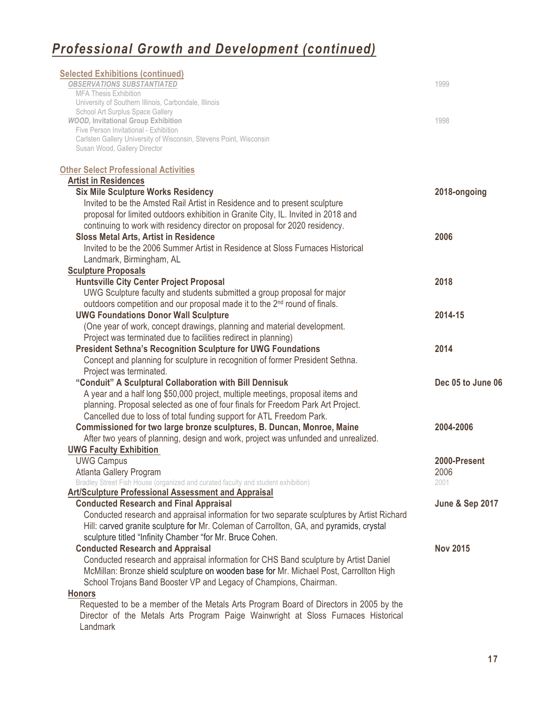| <b>Selected Exhibitions (continued)</b><br><b>OBSERVATIONS SUBSTANTIATED</b><br><b>MFA Thesis Exhibition</b> | 1999                       |
|--------------------------------------------------------------------------------------------------------------|----------------------------|
| University of Southern Illinois, Carbondale, Illinois                                                        |                            |
| School Art Surplus Space Gallery                                                                             |                            |
| <b>WOOD, Invitational Group Exhibition</b><br>Five Person Invitational - Exhibition                          | 1998                       |
| Carlsten Gallery University of Wisconsin, Stevens Point, Wisconsin                                           |                            |
| Susan Wood, Gallery Director                                                                                 |                            |
| <b>Other Select Professional Activities</b>                                                                  |                            |
| <b>Artist in Residences</b>                                                                                  |                            |
| <b>Six Mile Sculpture Works Residency</b>                                                                    | 2018-ongoing               |
| Invited to be the Amsted Rail Artist in Residence and to present sculpture                                   |                            |
| proposal for limited outdoors exhibition in Granite City, IL. Invited in 2018 and                            |                            |
| continuing to work with residency director on proposal for 2020 residency.                                   |                            |
| <b>Sloss Metal Arts, Artist in Residence</b>                                                                 | 2006                       |
| Invited to be the 2006 Summer Artist in Residence at Sloss Furnaces Historical                               |                            |
| Landmark, Birmingham, AL                                                                                     |                            |
| <b>Sculpture Proposals</b>                                                                                   |                            |
| <b>Huntsville City Center Project Proposal</b>                                                               | 2018                       |
| UWG Sculpture faculty and students submitted a group proposal for major                                      |                            |
| outdoors competition and our proposal made it to the 2 <sup>nd</sup> round of finals.                        |                            |
| <b>UWG Foundations Donor Wall Sculpture</b>                                                                  | 2014-15                    |
| (One year of work, concept drawings, planning and material development.                                      |                            |
| Project was terminated due to facilities redirect in planning)                                               |                            |
| <b>President Sethna's Recognition Sculpture for UWG Foundations</b>                                          | 2014                       |
| Concept and planning for sculpture in recognition of former President Sethna.<br>Project was terminated.     |                            |
| "Conduit" A Sculptural Collaboration with Bill Dennisuk                                                      | Dec 05 to June 06          |
| A year and a half long \$50,000 project, multiple meetings, proposal items and                               |                            |
| planning. Proposal selected as one of four finals for Freedom Park Art Project.                              |                            |
| Cancelled due to loss of total funding support for ATL Freedom Park.                                         |                            |
| Commissioned for two large bronze sculptures, B. Duncan, Monroe, Maine                                       | 2004-2006                  |
| After two years of planning, design and work, project was unfunded and unrealized.                           |                            |
| <b>UWG Faculty Exhibition</b>                                                                                |                            |
| <b>UWG Campus</b>                                                                                            | 2000-Present               |
| Atlanta Gallery Program                                                                                      | 2006                       |
| Bradley Street Fish House (organized and curated faculty and student exhibition)                             | 2001                       |
| <b>Art/Sculpture Professional Assessment and Appraisal</b>                                                   |                            |
| <b>Conducted Research and Final Appraisal</b>                                                                | <b>June &amp; Sep 2017</b> |
| Conducted research and appraisal information for two separate sculptures by Artist Richard                   |                            |
| Hill: carved granite sculpture for Mr. Coleman of Carrollton, GA, and pyramids, crystal                      |                            |
| sculpture titled "Infinity Chamber "for Mr. Bruce Cohen.                                                     |                            |
| <b>Conducted Research and Appraisal</b>                                                                      | <b>Nov 2015</b>            |
| Conducted research and appraisal information for CHS Band sculpture by Artist Daniel                         |                            |
| McMillan: Bronze shield sculpture on wooden base for Mr. Michael Post, Carrollton High                       |                            |
| School Trojans Band Booster VP and Legacy of Champions, Chairman.                                            |                            |
| <b>Honors</b>                                                                                                |                            |
| Requested to be a member of the Metals Arts Program Board of Directors in 2005 by the                        |                            |
| Director of the Metals Arts Program Paige Wainwright at Sloss Furnaces Historical<br>Landmark                |                            |